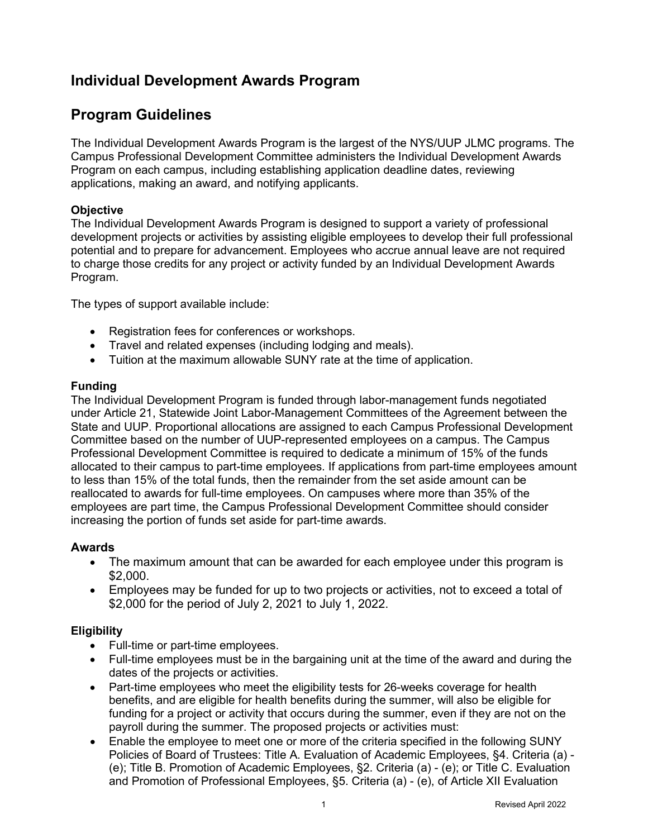# **Individual Development Awards Program**

## **Program Guidelines**

The Individual Development Awards Program is the largest of the NYS/UUP JLMC programs. The Campus Professional Development Committee administers the Individual Development Awards Program on each campus, including establishing application deadline dates, reviewing applications, making an award, and notifying applicants.

### **Objective**

The Individual Development Awards Program is designed to support a variety of professional development projects or activities by assisting eligible employees to develop their full professional potential and to prepare for advancement. Employees who accrue annual leave are not required to charge those credits for any project or activity funded by an Individual Development Awards Program.

The types of support available include:

- Registration fees for conferences or workshops.
- Travel and related expenses (including lodging and meals).
- Tuition at the maximum allowable SUNY rate at the time of application.

#### **Funding**

The Individual Development Program is funded through labor-management funds negotiated under Article 21, Statewide Joint Labor-Management Committees of the Agreement between the State and UUP. Proportional allocations are assigned to each Campus Professional Development Committee based on the number of UUP-represented employees on a campus. The Campus Professional Development Committee is required to dedicate a minimum of 15% of the funds allocated to their campus to part-time employees. If applications from part-time employees amount to less than 15% of the total funds, then the remainder from the set aside amount can be reallocated to awards for full-time employees. On campuses where more than 35% of the employees are part time, the Campus Professional Development Committee should consider increasing the portion of funds set aside for part-time awards.

## **Awards**

- The maximum amount that can be awarded for each employee under this program is \$2,000.
- Employees may be funded for up to two projects or activities, not to exceed a total of \$2,000 for the period of July 2, 2021 to July 1, 2022.

#### **Eligibility**

- Full-time or part-time employees.
- Full-time employees must be in the bargaining unit at the time of the award and during the dates of the projects or activities.
- Part-time employees who meet the eligibility tests for 26-weeks coverage for health benefits, and are eligible for health benefits during the summer, will also be eligible for funding for a project or activity that occurs during the summer, even if they are not on the payroll during the summer. The proposed projects or activities must:
- Enable the employee to meet one or more of the criteria specified in the following SUNY Policies of Board of Trustees: Title A. Evaluation of Academic Employees, §4. Criteria (a) - (e); Title B. Promotion of Academic Employees, §2. Criteria (a) - (e); or Title C. Evaluation and Promotion of Professional Employees, §5. Criteria (a) - (e), of Article XII Evaluation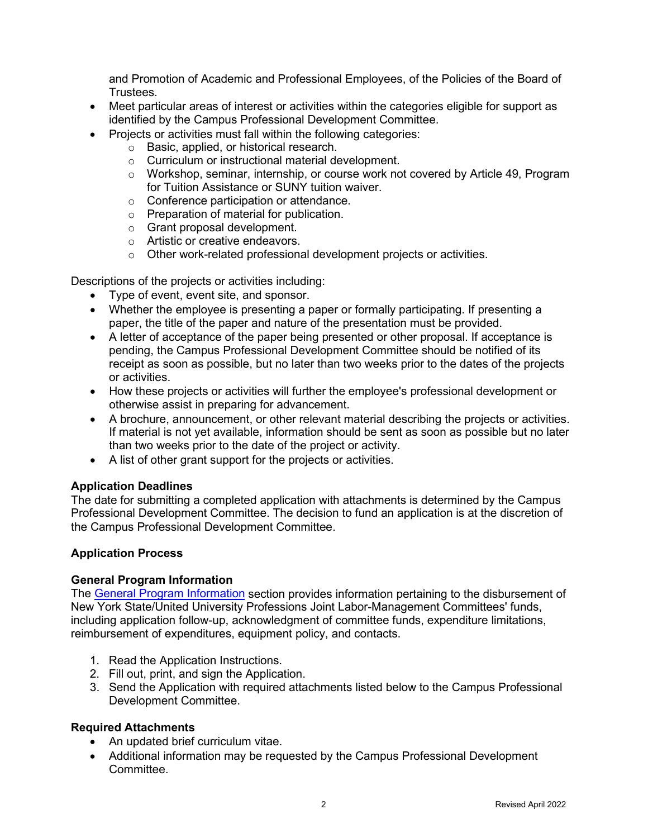and Promotion of Academic and Professional Employees, of the Policies of the Board of **Trustees** 

- Meet particular areas of interest or activities within the categories eligible for support as identified by the Campus Professional Development Committee.
- Projects or activities must fall within the following categories:
	- $\circ$  Basic, applied, or historical research.
	- o Curriculum or instructional material development.
	- o Workshop, seminar, internship, or course work not covered by Article 49, Program for Tuition Assistance or SUNY tuition waiver.
	- o Conference participation or attendance.
	- o Preparation of material for publication.
	- o Grant proposal development.
	- o Artistic or creative endeavors.
	- o Other work-related professional development projects or activities.

Descriptions of the projects or activities including:

- Type of event, event site, and sponsor.
- Whether the employee is presenting a paper or formally participating. If presenting a paper, the title of the paper and nature of the presentation must be provided.
- A letter of acceptance of the paper being presented or other proposal. If acceptance is pending, the Campus Professional Development Committee should be notified of its receipt as soon as possible, but no later than two weeks prior to the dates of the projects or activities.
- How these projects or activities will further the employee's professional development or otherwise assist in preparing for advancement.
- A brochure, announcement, or other relevant material describing the projects or activities. If material is not yet available, information should be sent as soon as possible but no later than two weeks prior to the date of the project or activity.
- A list of other grant support for the projects or activities.

#### **Application Deadlines**

The date for submitting a completed application with attachments is determined by the Campus Professional Development Committee. The decision to fund an application is at the discretion of the Campus Professional Development Committee.

## **Application Process**

#### **General Program Information**

The [General Program Information](https://oer.ny.gov/general-program-information) section provides information pertaining to the disbursement of New York State/United University Professions Joint Labor-Management Committees' funds, including application follow-up, acknowledgment of committee funds, expenditure limitations, reimbursement of expenditures, equipment policy, and contacts.

- 1. Read the Application Instructions.
- 2. Fill out, print, and sign the Application.
- 3. Send the Application with required attachments listed below to the Campus Professional Development Committee.

## **Required Attachments**

- An updated brief curriculum vitae.
- Additional information may be requested by the Campus Professional Development **Committee.**